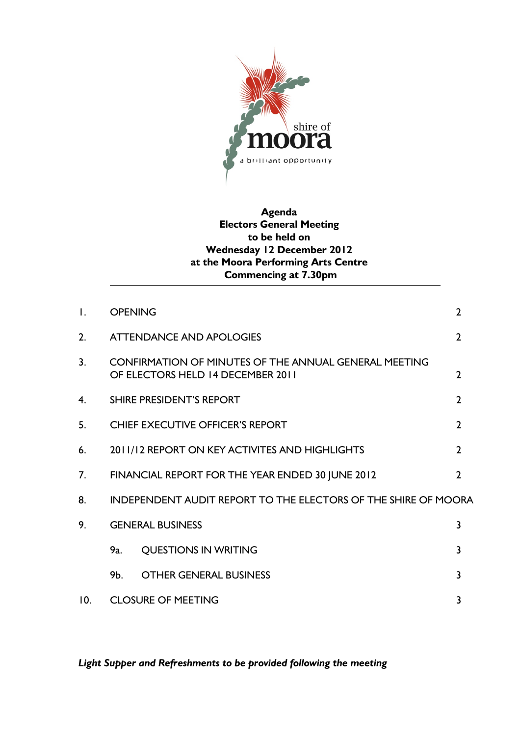

# **Agenda Electors General Meeting to be held on Wednesday 12 December 2012 at the Moora Performing Arts Centre Commencing at 7.30pm**

| $\mathsf{L}$   | <b>OPENING</b>                                                                                    |                                                                       | $\overline{2}$ |  |
|----------------|---------------------------------------------------------------------------------------------------|-----------------------------------------------------------------------|----------------|--|
| 2.             | <b>ATTENDANCE AND APOLOGIES</b>                                                                   |                                                                       | $\overline{2}$ |  |
| 3 <sub>1</sub> | <b>CONFIRMATION OF MINUTES OF THE ANNUAL GENERAL MEETING</b><br>OF ELECTORS HELD 14 DECEMBER 2011 |                                                                       | $\overline{2}$ |  |
| 4.             | <b>SHIRE PRESIDENT'S REPORT</b>                                                                   |                                                                       | $\overline{2}$ |  |
| 5.             | <b>CHIEF EXECUTIVE OFFICER'S REPORT</b>                                                           |                                                                       | $\overline{2}$ |  |
| 6.             | 2011/12 REPORT ON KEY ACTIVITES AND HIGHLIGHTS                                                    |                                                                       | $\overline{2}$ |  |
| 7.             | FINANCIAL REPORT FOR THE YEAR ENDED 30 JUNE 2012                                                  |                                                                       | $\overline{2}$ |  |
| 8.             |                                                                                                   | <b>INDEPENDENT AUDIT REPORT TO THE ELECTORS OF THE SHIRE OF MOORA</b> |                |  |
| 9.             | <b>GENERAL BUSINESS</b>                                                                           |                                                                       | 3              |  |
|                | 9a.                                                                                               | <b>QUESTIONS IN WRITING</b>                                           | २              |  |
|                | 9b.                                                                                               | <b>OTHER GENERAL BUSINESS</b>                                         | 3              |  |
| 10.            |                                                                                                   | <b>CLOSURE OF MEETING</b><br>3                                        |                |  |

*Light Supper and Refreshments to be provided following the meeting*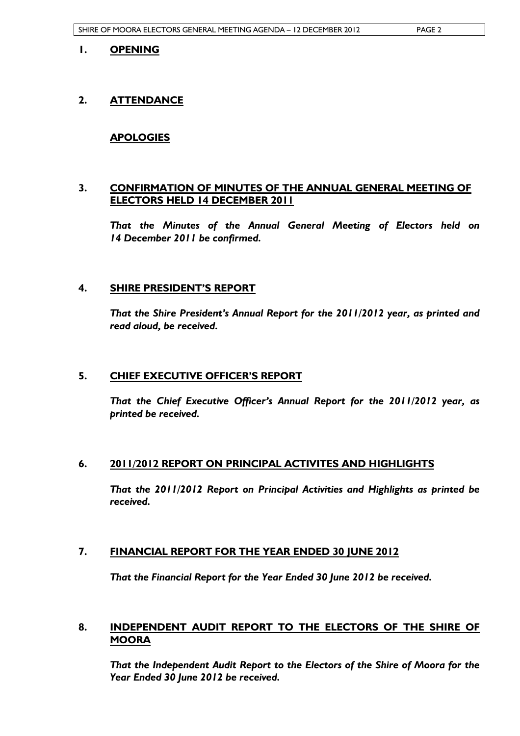#### **1. OPENING**

### **2. ATTENDANCE**

### **APOLOGIES**

### **3. CONFIRMATION OF MINUTES OF THE ANNUAL GENERAL MEETING OF ELECTORS HELD 14 DECEMBER 2011**

*That the Minutes of the Annual General Meeting of Electors held on 14 December 2011 be confirmed.* 

#### **4. SHIRE PRESIDENT'S REPORT**

*That the Shire President's Annual Report for the 2011/2012 year, as printed and read aloud, be received.* 

#### **5. CHIEF EXECUTIVE OFFICER'S REPORT**

*That the Chief Executive Officer's Annual Report for the 2011/2012 year, as printed be received.* 

#### **6. 2011/2012 REPORT ON PRINCIPAL ACTIVITES AND HIGHLIGHTS**

*That the 2011/2012 Report on Principal Activities and Highlights as printed be received.* 

# **7. FINANCIAL REPORT FOR THE YEAR ENDED 30 JUNE 2012**

*That the Financial Report for the Year Ended 30 June 2012 be received.* 

### **8. INDEPENDENT AUDIT REPORT TO THE ELECTORS OF THE SHIRE OF MOORA**

*That the Independent Audit Report to the Electors of the Shire of Moora for the Year Ended 30 June 2012 be received.*